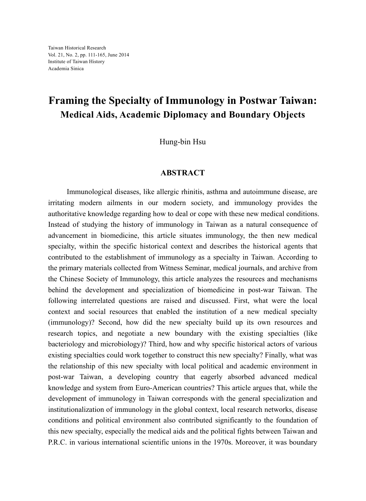## **Framing the Specialty of Immunology in Postwar Taiwan: Medical Aids, Academic Diplomacy and Boundary Objects**

Hung-bin Hsu

## **ABSTRACT**

 Immunological diseases, like allergic rhinitis, asthma and autoimmune disease, are irritating modern ailments in our modern society, and immunology provides the authoritative knowledge regarding how to deal or cope with these new medical conditions. Instead of studying the history of immunology in Taiwan as a natural consequence of advancement in biomedicine, this article situates immunology, the then new medical specialty, within the specific historical context and describes the historical agents that contributed to the establishment of immunology as a specialty in Taiwan. According to the primary materials collected from Witness Seminar, medical journals, and archive from the Chinese Society of Immunology, this article analyzes the resources and mechanisms behind the development and specialization of biomedicine in post-war Taiwan. The following interrelated questions are raised and discussed. First, what were the local context and social resources that enabled the institution of a new medical specialty (immunology)? Second, how did the new specialty build up its own resources and research topics, and negotiate a new boundary with the existing specialties (like bacteriology and microbiology)? Third, how and why specific historical actors of various existing specialties could work together to construct this new specialty? Finally, what was the relationship of this new specialty with local political and academic environment in post-war Taiwan, a developing country that eagerly absorbed advanced medical knowledge and system from Euro-American countries? This article argues that, while the development of immunology in Taiwan corresponds with the general specialization and institutionalization of immunology in the global context, local research networks, disease conditions and political environment also contributed significantly to the foundation of this new specialty, especially the medical aids and the political fights between Taiwan and P.R.C. in various international scientific unions in the 1970s. Moreover, it was boundary